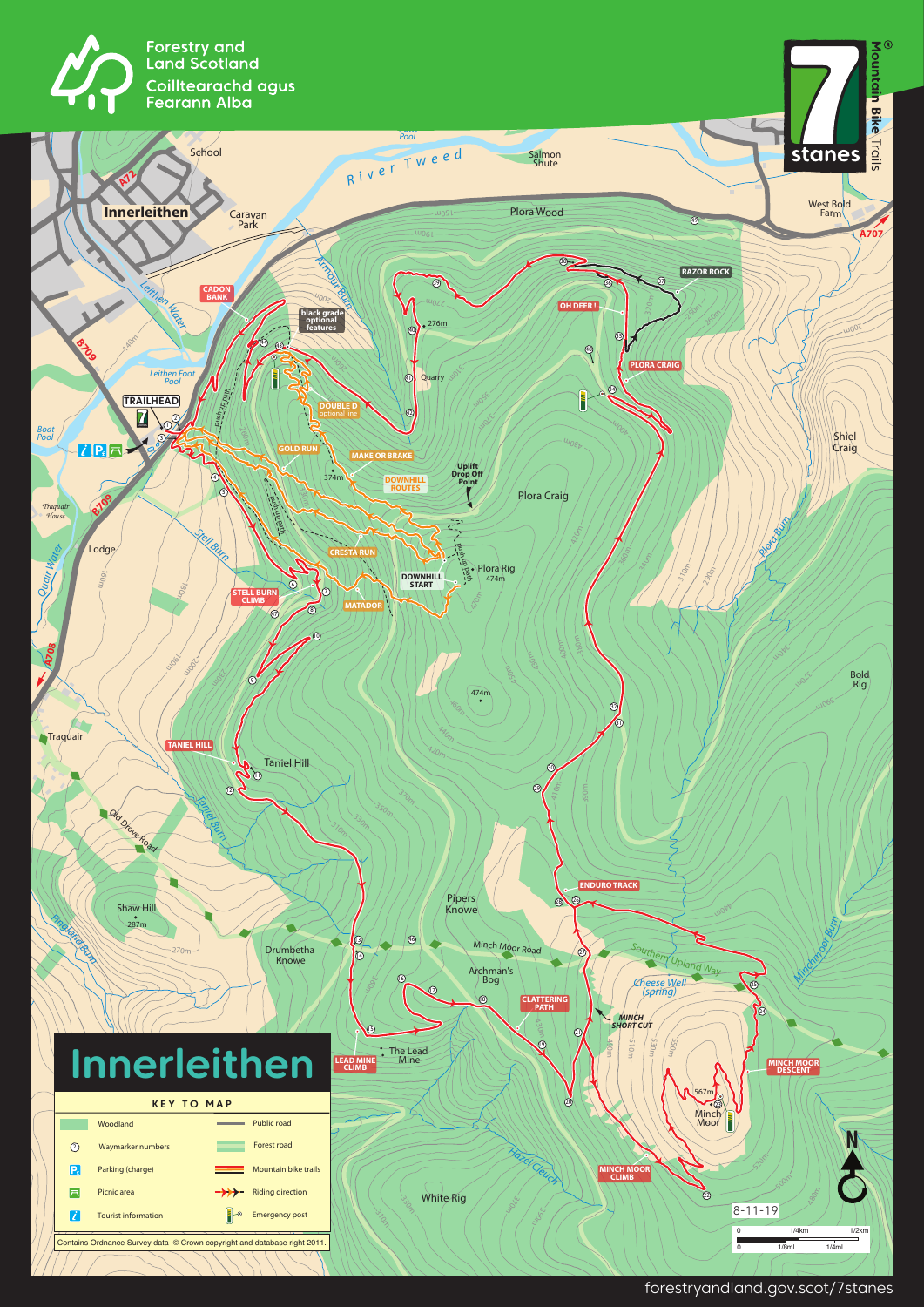







forestryandland.gov.scot/7stanes